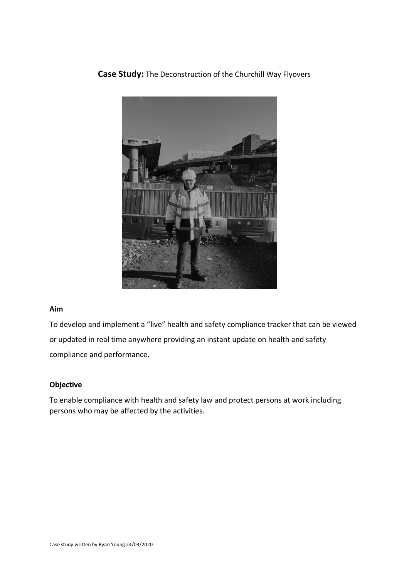



# **Aim**

To develop and implement a "live" health and safety compliance tracker that can be viewed or updated in real time anywhere providing an instant update on health and safety compliance and performance.

# **Objective**

To enable compliance with health and safety law and protect persons at work including persons who may be affected by the activities.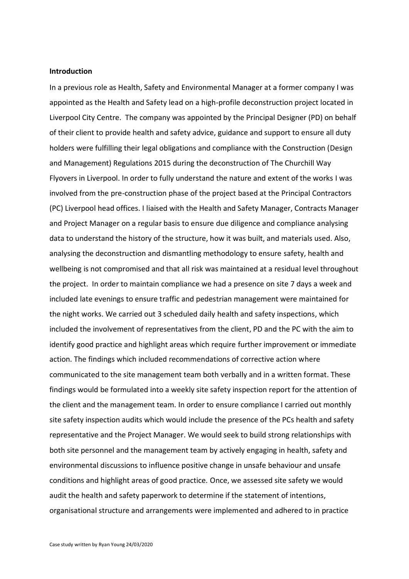### **Introduction**

In a previous role as Health, Safety and Environmental Manager at a former company I was appointed as the Health and Safety lead on a high-profile deconstruction project located in Liverpool City Centre. The company was appointed by the Principal Designer (PD) on behalf of their client to provide health and safety advice, guidance and support to ensure all duty holders were fulfilling their legal obligations and compliance with the Construction (Design and Management) Regulations 2015 during the deconstruction of The Churchill Way Flyovers in Liverpool. In order to fully understand the nature and extent of the works I was involved from the pre-construction phase of the project based at the Principal Contractors (PC) Liverpool head offices. I liaised with the Health and Safety Manager, Contracts Manager and Project Manager on a regular basis to ensure due diligence and compliance analysing data to understand the history of the structure, how it was built, and materials used. Also, analysing the deconstruction and dismantling methodology to ensure safety, health and wellbeing is not compromised and that all risk was maintained at a residual level throughout the project. In order to maintain compliance we had a presence on site 7 days a week and included late evenings to ensure traffic and pedestrian management were maintained for the night works. We carried out 3 scheduled daily health and safety inspections, which included the involvement of representatives from the client, PD and the PC with the aim to identify good practice and highlight areas which require further improvement or immediate action. The findings which included recommendations of corrective action where communicated to the site management team both verbally and in a written format. These findings would be formulated into a weekly site safety inspection report for the attention of the client and the management team. In order to ensure compliance I carried out monthly site safety inspection audits which would include the presence of the PCs health and safety representative and the Project Manager. We would seek to build strong relationships with both site personnel and the management team by actively engaging in health, safety and environmental discussions to influence positive change in unsafe behaviour and unsafe conditions and highlight areas of good practice. Once, we assessed site safety we would audit the health and safety paperwork to determine if the statement of intentions, organisational structure and arrangements were implemented and adhered to in practice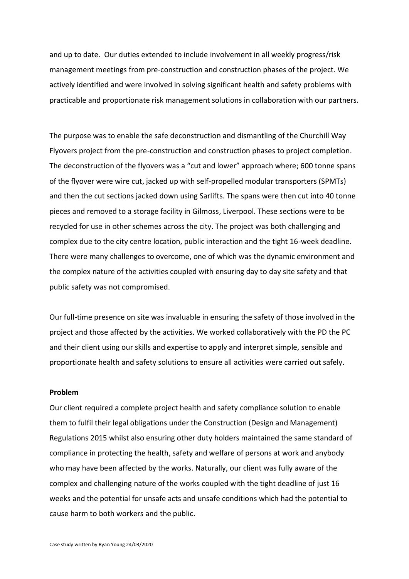and up to date. Our duties extended to include involvement in all weekly progress/risk management meetings from pre-construction and construction phases of the project. We actively identified and were involved in solving significant health and safety problems with practicable and proportionate risk management solutions in collaboration with our partners.

The purpose was to enable the safe deconstruction and dismantling of the Churchill Way Flyovers project from the pre-construction and construction phases to project completion. The deconstruction of the flyovers was a "cut and lower" approach where; 600 tonne spans of the flyover were wire cut, jacked up with self-propelled modular transporters (SPMTs) and then the cut sections jacked down using Sarlifts. The spans were then cut into 40 tonne pieces and removed to a storage facility in Gilmoss, Liverpool. These sections were to be recycled for use in other schemes across the city. The project was both challenging and complex due to the city centre location, public interaction and the tight 16-week deadline. There were many challenges to overcome, one of which was the dynamic environment and the complex nature of the activities coupled with ensuring day to day site safety and that public safety was not compromised.

Our full-time presence on site was invaluable in ensuring the safety of those involved in the project and those affected by the activities. We worked collaboratively with the PD the PC and their client using our skills and expertise to apply and interpret simple, sensible and proportionate health and safety solutions to ensure all activities were carried out safely.

### **Problem**

Our client required a complete project health and safety compliance solution to enable them to fulfil their legal obligations under the Construction (Design and Management) Regulations 2015 whilst also ensuring other duty holders maintained the same standard of compliance in protecting the health, safety and welfare of persons at work and anybody who may have been affected by the works. Naturally, our client was fully aware of the complex and challenging nature of the works coupled with the tight deadline of just 16 weeks and the potential for unsafe acts and unsafe conditions which had the potential to cause harm to both workers and the public.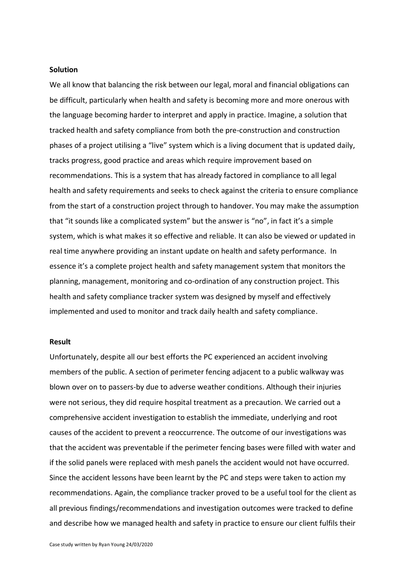### **Solution**

We all know that balancing the risk between our legal, moral and financial obligations can be difficult, particularly when health and safety is becoming more and more onerous with the language becoming harder to interpret and apply in practice. Imagine, a solution that tracked health and safety compliance from both the pre-construction and construction phases of a project utilising a "live" system which is a living document that is updated daily, tracks progress, good practice and areas which require improvement based on recommendations. This is a system that has already factored in compliance to all legal health and safety requirements and seeks to check against the criteria to ensure compliance from the start of a construction project through to handover. You may make the assumption that "it sounds like a complicated system" but the answer is "no", in fact it's a simple system, which is what makes it so effective and reliable. It can also be viewed or updated in real time anywhere providing an instant update on health and safety performance. In essence it's a complete project health and safety management system that monitors the planning, management, monitoring and co-ordination of any construction project. This health and safety compliance tracker system was designed by myself and effectively implemented and used to monitor and track daily health and safety compliance.

#### **Result**

Unfortunately, despite all our best efforts the PC experienced an accident involving members of the public. A section of perimeter fencing adjacent to a public walkway was blown over on to passers-by due to adverse weather conditions. Although their injuries were not serious, they did require hospital treatment as a precaution. We carried out a comprehensive accident investigation to establish the immediate, underlying and root causes of the accident to prevent a reoccurrence. The outcome of our investigations was that the accident was preventable if the perimeter fencing bases were filled with water and if the solid panels were replaced with mesh panels the accident would not have occurred. Since the accident lessons have been learnt by the PC and steps were taken to action my recommendations. Again, the compliance tracker proved to be a useful tool for the client as all previous findings/recommendations and investigation outcomes were tracked to define and describe how we managed health and safety in practice to ensure our client fulfils their